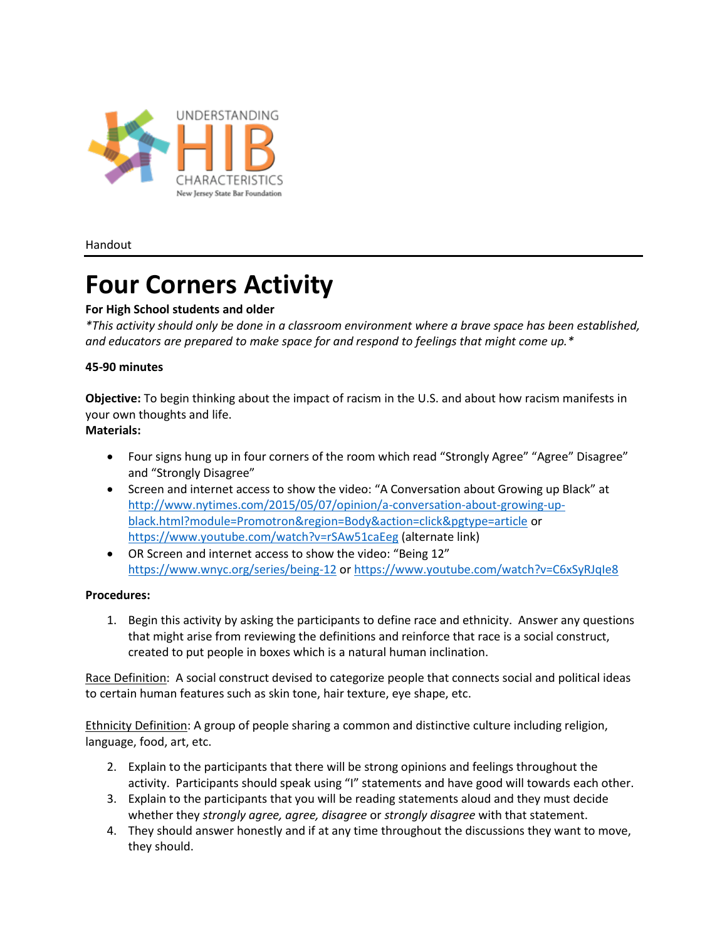

Handout

# **Four Corners Activity**

# **For High School students and older**

*\*This activity should only be done in a classroom environment where a brave space has been established, and educators are prepared to make space for and respond to feelings that might come up.\**

# **45-90 minutes**

**Objective:** To begin thinking about the impact of racism in the U.S. and about how racism manifests in your own thoughts and life.

# **Materials:**

- Four signs hung up in four corners of the room which read "Strongly Agree" "Agree" Disagree" and "Strongly Disagree"
- Screen and internet access to show the video: "A Conversation about Growing up Black" at [http://www.nytimes.com/2015/05/07/opinion/a-conversation-about-growing-up](http://www.nytimes.com/2015/05/07/opinion/a-conversation-about-growing-up-black.html?module=Promotron®ion=Body&action=click&pgtype=article)[black.html?module=Promotron&region=Body&action=click&pgtype=article](http://www.nytimes.com/2015/05/07/opinion/a-conversation-about-growing-up-black.html?module=Promotron®ion=Body&action=click&pgtype=article) or <https://www.youtube.com/watch?v=rSAw51caEeg> (alternate link)
- OR Screen and internet access to show the video: "Being 12" <https://www.wnyc.org/series/being-12> or https://www.youtube.com/watch?v=C6xSyRJqIe8

# **Procedures:**

1. Begin this activity by asking the participants to define race and ethnicity. Answer any questions that might arise from reviewing the definitions and reinforce that race is a social construct, created to put people in boxes which is a natural human inclination.

Race Definition: A social construct devised to categorize people that connects social and political ideas to certain human features such as skin tone, hair texture, eye shape, etc.

Ethnicity Definition: A group of people sharing a common and distinctive culture including religion, language, food, art, etc.

- 2. Explain to the participants that there will be strong opinions and feelings throughout the activity. Participants should speak using "I" statements and have good will towards each other.
- 3. Explain to the participants that you will be reading statements aloud and they must decide whether they *strongly agree, agree, disagree* or *strongly disagree* with that statement.
- 4. They should answer honestly and if at any time throughout the discussions they want to move, they should.